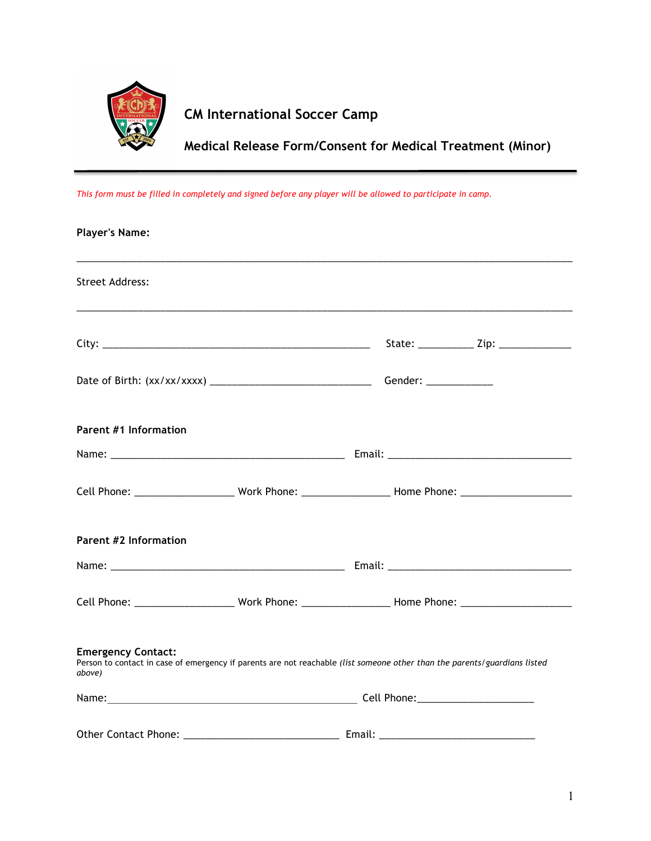

## **CM International Soccer Camp**

**Medical Release Form/Consent for Medical Treatment (Minor)**

*This form must be filled in completely and signed before any player will be allowed to participate in camp.*

| <b>Player's Name:</b>               |                                                                                                                           |  |
|-------------------------------------|---------------------------------------------------------------------------------------------------------------------------|--|
| <b>Street Address:</b>              |                                                                                                                           |  |
|                                     |                                                                                                                           |  |
|                                     |                                                                                                                           |  |
| <b>Parent #1 Information</b>        |                                                                                                                           |  |
|                                     |                                                                                                                           |  |
|                                     | Cell Phone: _________________________Work Phone: _____________________Home Phone: __________________                      |  |
| <b>Parent #2 Information</b>        |                                                                                                                           |  |
|                                     |                                                                                                                           |  |
|                                     |                                                                                                                           |  |
| <b>Emergency Contact:</b><br>above) | Person to contact in case of emergency if parents are not reachable (list someone other than the parents/guardians listed |  |
|                                     |                                                                                                                           |  |
|                                     |                                                                                                                           |  |